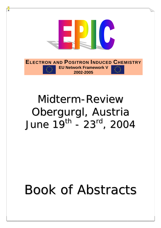

# Midterm-Review Obergurgl, Austria June 19th - 23rd , 2004

# Book of Abstracts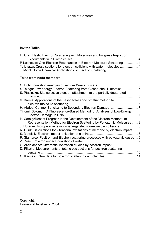## **Invited Talks:**

| H. Cho: Elastic Electron Scattering with Molecules and Progress Report on |  |
|---------------------------------------------------------------------------|--|
|                                                                           |  |
| R Luchesse: One-Electron Resonances in Electron-Molecule Scattering 4     |  |
| Y. Itikawa: Cross sections for electron collisions with water molecules 4 |  |
|                                                                           |  |
|                                                                           |  |

## **Talks from node members:**

| O. Echt: Ionization energies of van der Waals clusters                              | 5  |
|-------------------------------------------------------------------------------------|----|
| S Telega: Low-energy Electron Scattering from Closed-shell Diatomics5               |    |
| S. Ptasińska: Site selective electron attachment to the partially deuterated        |    |
| thymine.                                                                            | 6  |
| V. Brems: Applications of the Feshbach-Fano-R-matrix method to                      |    |
|                                                                                     | 6  |
| H. Abdoul-Carime: Sensitizing to Secondary Electron Damage                          |    |
| Tihomir Solomun: A Fluorescence-Based Method for Analyses of Low-Energy             |    |
|                                                                                     |    |
| P. Carsky: Recent Progress in the Development of the Discrete Momentum              |    |
| Representation Method for Electron Scattering by Polyatomic Molecules  8            |    |
| J. Horacek: Isotope effects in low-energy electron-molecule collisions  8           |    |
| R. Curik: Calculations for vibrational excitations of methane by electron impact  8 |    |
|                                                                                     |    |
| F. Gianturco: Positron and Electron scattering processes with polyatomic gases  9   |    |
| Z. Pesič: Positron impact ionization of water                                       |    |
|                                                                                     |    |
| D. Pliszka: Measurements of total cross sections for positron scattering in         |    |
| benzene                                                                             | 10 |
|                                                                                     |    |

Copyright: Universität Innsbruck, 2004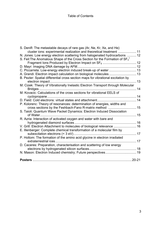| S. Denifl: The metastable decays of rare gas (Ar, Ne, Kr, Xe, and He)                                         |      |
|---------------------------------------------------------------------------------------------------------------|------|
| cluster ions: experimental realization and theoretical treatment  11                                          |      |
| N. Jones: Low energy electron scattering from halogenated hydrocarbons  12                                    |      |
| S. Feil: The Anomalous Shape of the Cross Section for the Formation of $SF_3^+$                               |      |
|                                                                                                               |      |
|                                                                                                               |      |
| C. Piccarreta: Low-energy electron induced break-up of water  13                                              |      |
| A. Grandi: Electron impact calculation on biological molecules  13                                            |      |
| B. Pezler: Spatial differential cross section maps for vibrational excitation by                              | . 13 |
|                                                                                                               |      |
|                                                                                                               | 14   |
| M. Kovacic: Calculations of the cross sections for vibrational EELS of                                        |      |
|                                                                                                               |      |
|                                                                                                               |      |
| P. Kolorenc: Theory of resonances: determination of energies, widths and                                      |      |
|                                                                                                               |      |
| S. Taioli: Quantum Wave Packet Dynamics: Electron Induced Dissociation                                        |      |
| of Water                                                                                                      |      |
| R. Azria: Interaction of activated oxygen and water with bare and                                             |      |
|                                                                                                               |      |
| V. Grill: Electron Attachment to molecules of biological relevance  16                                        |      |
| E. Illenberger: Complete chemical transformation of a molecular film by                                       |      |
| subexcitation electrons (< 3 eV)<br>P. Holtom: The formation of the amino acid glycine in electron irradiated |      |
|                                                                                                               |      |
| D. Caceres: Preparation, characterisation and scattering of low energy                                        |      |
|                                                                                                               |      |
| N. Mason: Electron Induced chemistry; Future perspectives 19                                                  |      |
|                                                                                                               |      |
|                                                                                                               |      |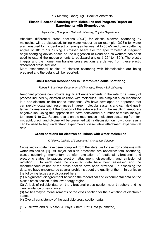## **Elastic Electron Scattering with Molecules and Progress Report on Experiments with Biomolecules**

*Hyuck Cho, Chungnam National University, Physics Department* 

Absolute differential cross sections (DCS) for elastic electron scattering by molecules will be discussed, taking water vapour as an example. DCS's for water are measured for incident electron energies between 4 to 50 eV and over scattering angles of 10° to 180° using a crossed beam electron spectrometer. A magnetic angle-changing device based on the suggestion of Read and co-workers has been used to extend the measurements to backward angles (125° to 180°). The elastic integral and the momentum transfer cross sections are derived from these elastic differential cross sections.

More experimental studies of electron scattering with biomolecules are being prepared and the details will be reported.

## **One-Electron Resonances in Electron-Molecule Scattering**

#### *Robert R. Lucchese, Department of Chemistry, Texas A&M University*

Resonant process can provide significant enhancements in the rate for a variety of process induced by electron collision with molecules. The simplest such resonance is a one-electron, or the shape resonance. We have developed an approach that can rapidly locate such resonances in larger molecular systems and can yield qualitative information about the location of the extra electron in the resulting temporary negative ion. Using this approach we have considered a number of molecular system from  $N_2$  to  $C_{60}$ . Recent results on the resonances in electron scattering from formic acid, uracil, and glycine will be presented with a discussion on how those results can be used to help understand experimental dissociative attachment experimental data.

## **Cross sections for electron collisions with water molecules**

## *Y. Itikawa, Institute of Space and Astronautical Science*

Cross section data have been compiled from the literature for electron collisions with water molecules. [1] All major collision processes are reviewed: total scattering, elastic scattering, momentum transfer, excitation of rotational, vibrational, and electronic states, ionization, electron attachment, dissociation, and emission of radiation. In each case the collected data have been assessed and the recommended values of the cross section have been provided. In assessing the data, we have encountered several problems about the quality of them. In particular the following issues are discussed here:

(1) A significant disagreement between the theoretical and experimental data on the elastic cross section in the low-energy region.

(2) A lack of reliable data on the vibrational cross section near threshold and no clear evidence of resonance.

(3) No beam-type measurements of the cross section for the excitation of electronic states.

(4) Overall consistency of the available cross section data.

[1] Y. Itikawa and N. Mason, J. Phys. Chem. Ref. Data (submitted).

4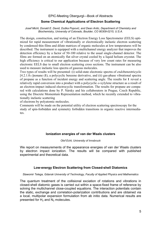## **Some Chemical Applications of Electron Scattering**

*Josef Michl, Donald E. David, Duška Popović, and Dean Antic, Department of Chemistry and Biochemistry, University of Colorado, Boulder, CO 80309-0215, U.S.A.* 

The design, construction, and testing of an Electron Energy Loss Spectrometer (EELS) optimized for rapid measurement of vibrationally or electronically inelastic electron scattering by condensed thin films and dilute matrices of organic molecules at low temperatures will be described. The instrument is equipped with a multichannel energy analyzer that improves the detection efficiency by a factor of 50-100 relative to the usual single-channel detector. The films are formed on an atomically flat silver crystal cooled by a liquid helium cryostat. The high efficiency is critical to our application because of very low count rates for measuring electronic EELS due to small electron scattering cross sections. The instrument can be also used to measure inelastic loss spectra of gaseous molecules.

Two types of results will be presented: (i) solid-state electronic spectra of *endo*benzotricyclo [4.2.1.02.5]nonane (**1**), a polycyclic benzene derivative, and (ii) gas-phase vibrational spectra of propane as a function of incident energy and scattering angle. The results for **1** reveal a relatively rapid conversion into a product with a polycyclic *o*-xylylene structure as a result of an electron-impact induced electrocyclic transformation. The results for propane are compared with calculations done by P. Ñársky and his collaborators in Prague, Czech Republic, using the Discrete Momentum Representation method, which he recently extended to vibrationally inelastic scattering

of electrons by polyatomic molecules.

Comments will be made on the potential utility of electron scattering spectroscopy for the study of spin-forbidden and symmetry forbidden transitions in organic reactive intermediates.

## **Ionization energies of van der Waals clusters**

*Olof Echt, University of Innsbruck* 

We report on measurements of the appearance energies of van der Waals clusters by electron impact ionization. The results will be compared with published experimental and theoretical data.

## **Low-energy Electron Scattering from Closed-shell Diatomics**

#### *Slawomir Telega, Gdansk University of Technology, Faculty of Applied Physics and Mathematics*

The quantum treatment of the collisional exciation of rotations and vibrations in closed-shell diatomic gases is carried out within a space-fixed frame of reference by solving the multichannel close-coupled equations. The interaction potentials contain the static, exchange and correlation-polarization contributions and are obtained via a local, multipolar expansion formulation from ab initio data. Numerical results are presented for  $H_2$  and  $N_2$  molecules.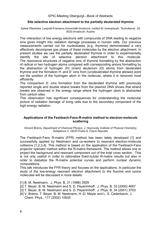## **Site selective electron attachment to the partially deuterated thymine**

#### *Sylwia Ptasińska, Leopold-Franzens-Universität Innsbruck, Institut für Ionenphysik, Technikerstr. 25, 6020 Innsbruck, Austria*

The interaction of low energy electrons with compounds of DNA leading to negative ions gives insight into radiation damage processes in human cells. Our previous measurements carried out for nucleobases (e.g. thymine) demonstrated a very effectively decompose gas phase of these molecules by the electron attachment. In present studies we use the partially deuterated thymine in order to experimentally identify the site of selective electron attachment to this molecule. The resonance structures of negative ions of thymine formatting by the abstraction of radical or two hydrogen atoms compared with corresponding anions formatting by the abstraction of hydrogen (H) or/and deuterium (D) atoms from deuterated thymine and the formation H<sup>-</sup> and D<sup>-</sup> ions from (un)deuterated thymine allowed point out the position of the hydrogen atom in the molecule, where it is removed most efficiently.

The comparison D ions formation from the deuterated thymine with previously reported single and double strand breaks from the plasmid DNA shows that strand breaks are observed in the energy range where the hydrogen atom is abstracted from carbon sites.

This observation has significant consequences for understanding the molecular picture of radiation damage of living cells due to the secondary component of the high energy radiation.

## **Applications of the Feshbach-Fano-R-matrix method to electron-molecule scattering**

*Vincent Brems, Department of Chemical Physics, J. Heyrovsky Institute of Physical Chemistry, Dolejskova 3, 18223 Praha 8, Czech Republic* 

The Feshbach-Fano R-matrix (FFR) method has been lately developed [1] and successfully applied by Nestmann and co-workers to resonant electron-molecule collisions [1,2,3,4]. This method is based on the application of the Feshbach-Fano projector operator method within the R-matrix framework. The method allows one to project the background and resonant component out of the total cross section. This is not only usefull in order to rationalize fixed-nulclei R-matrix results but also in order to diabatize the R-matrix potential curves and perform nuclear dynamic computations.

This talk introduces the FFR theory and focuses on the applications. In particular the study of the low-energy resonant electron attachment to the fluorine and ozone molecules will be discussed in more details.

[1] B. M. Nestmann. J. Phys. B, 31 (1998) 3929

- [2] T. Beyer, B. M. Nestmann and S. D. Peyerimhoff. J. Phys. B, 33 (2000) 4657
- [3] T. Beyer, B. M. Nestmann and S. D. Peyerimhoff. J. Phys. B, 34 (2001) 3703
- [4] V. Brems, T. Beyer, B. M. Nestmann, H.-D. Meyer and L. S. Cederbaum. J. Chem. Phys., 117 (2002) 10635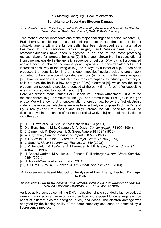## **Sensitizing to Secondary Electron Damage**

*H. Abdoul-Carime and E. Illenberger, Institut für Chemie -Physikalische und Theoretische Chemie-, Freie Universität Berlin, Takustrasse 3, D-14195 Berlin, Germany* 

Treatment of cancer represents one of the major challenges to medical research [1]. Radiotherapy, combining the use of ionizing radiation and the incorporation of cytotoxic agents within the tumour cells, has been developed as an alternative treatment to the traditional radical surgery, and 5-halouridines (e.g., 5 bromodeoxiuridine) have been suggested to be one of the most promising radiosensitizers for targeted therapies [2]. It has been shown that the substitution of thymidine nucleoside in the genetic sequence of cellular DNA by its halogenated analogs does not change the normal gene expression in non–irradiated cells , but increases sensitivity of the living cells [3] to X–rays by a factor of 4 [4]. It has been proposed that sensitization in the "halogen–modified" nucleic acids is presumably attributed to the interaction of hydrated electrons  $(e_{a}$ <sup>-</sup>) with the thymine surrogates [5]. However, not only such solvated electrons are capable to induce genotoxicity to cells but also the ballistic low–energy (< 20eV) electrons [6], which are the most predominant secondary species produced at the early time (fs–ps) after depositing energy into irradiated biological medium [7].

Here, we present measurements of Dissociative Electron Attachment (DEA) to the radiosensitizers (e.g., bromouracil, BrU [8], and bromouridin, BrdU [9]) in the gas phase. We will show, that at subexcitation energies (i.e., below the first electronic state of the molecule), electrons are able to effectively decompose BrU into Br<sup>-</sup> and  $Uy^{\dagger}$  (uracil-yl) and BrdU into Br<sup> $-$ </sup> and BrUyl<sup> $-$ </sup> (bromouracil-yl). These results will be discussed within the context of recent theoretical works [10] and their application in radiotherapy.

- [1] H. .L. Howe et al., *J. Nat. Cancer Institute* **93** 824 (2001).
- [2] D.J. Buschbaum, M.B. Khazaeli, M.A. Davis, *Cancer (suppl.)* **73** 999 (1994).
- [3] S. Zamenhof, R. DeGiovanni, S. Greer, *Nature* **181** 827 (1958)
- [4] W. Szybalski, *Cancer Chemother Reports* **58** 539 (1974)
- [5] M.D. Sevilla, R. Failor, G. Zorman, *J. Phys. Chem.* **78** 696 (1974)
- [6] L. Sanche, *Mass Spectrometry Reviews* **21** 349 (2002)
- [7] S.M. Pimblott, J.A. LaVerne, A. Mozumder, N.J.B. Green, *J. Phys. Chem.* **94** 488-495 (1990)
- [8] H. Abdoul-Carime, M.A. Huels, L. Sanche, E. Illenberger, *J. Am. Chem. Soc.* **123** 5354 (2001)
- [9] H. Abdoul-Carime et al. (submitted 2004)
- [10] X. Li, M.D. Sevilla, L. Sanche, *J. Am. Chem. Soc.* **125** 8916 (2003)

## **A Fluorescence-Based Method for Analyses of Low-Energy Electron Damage to DNA**

*Tihomir Solomun and Eugen Illenberger, Free University Berlin, Institute for Chemistry, Physical and Theoretical Chemistry, Takustrasse 3, D-14195 Berlin, Germany* 

Various active centres containing DNA molecules (single stranded oligonucleotides) were immobilized in an array on a gold surface and exposed to low-energy electron beam at different electron energies (<3eV) and doses. The electron damage was analysed by the binding ability of the complementary sequence as detected by a fluorescence method.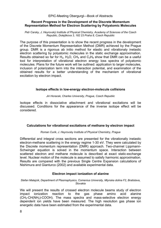## **Recent Progress in the Development of the Discrete Momentum Representation Method for Electron Scattering by Polyatomic Molecules**

*Petr Carsky, J. Heyrovský Institute of Physical Chemistry, Academy of Sciences of the Czech Republic, Dolejškova 3, 182 23 Praha 8, Czech Republic* 

The purpose of this presentation is to show the recent progress in the development of the Discrete Momentum Representation Method (DMR) achieved by the Prague group. DMR is a rigorous ab initio method for elastic and vibrationaly inelastic electron scattering by polyatomic molecules in the static exchange approximation. Results obtained so far for  $H_2$ ,  $H_2O$ ,  $CH_4$  and  $C_3H_8$  show that DMR can be a useful tool for interpretation of vibrational electron energy loss spectra of polyatomic molecules. Plans for the future work will be outlined: application to larger molecules, inclusion of polarization term into the interaction potential, and examination of the obtained results for a better understanding of the mechanism of vibrational excitation by electron impact.

## **Isotope effects in low-energy electron-molecule collisions**

#### *Jiri Horacek, Charles University, Prague, Czech Republic*

Isotope effects in dissociative attachment and vibrational excitations will be discussed. Conditions for the appearance of the inverse isotope effect will be considered.

## **Calculations for vibrational excitations of methane by electron impact**

#### *Roman Curik, J. Heyrovsky Institute of Physical Chemistry, Prague*

Differential and integral cross sections are presented for the vibrationally inelastic electron-methane scattering in the energy regime 1-30 eV. They were calculated by the Discrete momentum representation (DMR) approach. Two-channel Lippmann-Schwinger equation is solved in the momentum space. Interaction between scattered electron and methane molecule is described at exact static-exchange level. Nuclear motion of the molecule is assumed to satisfy harmonic approximation. Results are compared with the previous Single Centre Expansion calculations of Nishimura and Gianturco (2002) and available experimental data.

## **Electron impact ionization of alanine**

#### *Stefan Matejcik, Department of Plasmaphysics, Comenius University, Mlynska dolina F2, Bratislava, Slovakia*

We will present the results of crossed electron molecule beams study of electron impact ionization reaction to the gas phase amino acid alanine (CH3-CH(NH2)-COOH). The mass spectra and mass-selective electron energy dependent ion yields have been measured. The high resolution gas phase ion energetic data have been estimated from the experimental data.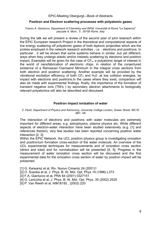#### **Positron and Electron scattering processes with polyatomic gases**

#### *Franco A. Gianturco, Department of Chemistry and INFM, Università di Roma "La Sapienza" piazzale A. Moro , 5 , 00185 Rome, Italy*

During the talk we will present a review of the second year of joint reserach within the EPIC European research Project in the theoretical and computational aspects of low energy scattering off polyatomic gases of both leptonic projectiles which are the probes employed in the network research activities , i.e. : electrons and positrons. In particular , it will be shown that some systems behave in similar ,but yet different, ways when they undergo elastic and/or inelastic scattering by electrons and positron impact, Examples will be given for the case of  $CF_4$ , a polyatomic target of interest in the world of nanofabrication of electronic chips, in relation of the conjectured existence of a Ramsauer-Townsend Minimum in the integral cross sections from both electron and positron scattering. Another example will be provided by the vibrational excitation efficiency of both  $CF_4$  and  $H_2O$  , at low collision energies, by impact with electrons and positrons.In the cases where they exist, comparison will also be made with experimental findings. finally, the importance of the formation of transient negative Ions (TNI's ) by secondary electron attachments to biologically relevant polyatomics will also be described and discussed.

## **Positron impact ionization of water**

#### *Z. Pesič, Department of Physics and Astronomy, University College London, Gower Street, WC1E 6BT, UK*

The interaction of electrons and positrons with water molecules are extremely important for different areas, e.g. astrophysics, plasma physics etc. While different aspects of electron-water interaction have been studied extensively (e.g. [1] and references therein), very few studies has been reported concerning positron water interaction [2, 3].

Within the EPIC Network, the UCL positron physics group is investigating ionization and positronium formation cross-section of the water molecule. An overview of the UCL experimental techniques for measurements and of ionization cross section (direct and total) and for normalization will be presented [4, 5]. Progress in the measurement of water ionization cross section will be discussed and the first experimental data for the ionization cross section of water by positron impact will be presented.

[1] G. Karwarsz et al, Riv. Nuovo Cimento 24 (2001)1

- [2] O. Sueoka et al, J. Phys. B: At. Mol. Opt. Phys 19 (1986) L373
- [3] F.A. Gianturco et al, PRA 64 (2001) 0327151
- [4] G. Laricchia et al, J. Phys. B: At. Mol. Opt. Phys. 35 (2002) 2525
- [5] P. Van Reeth et al, NIM B192 , (2002) 220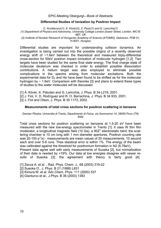#### **Differential Studies of Ionization by Positron Impact**

*C. Arcidiacono(1), Á. Kövér(2), Z. Pesic(1) and G. Laricchia(1) (1) Department of Physics and Astronomy, University College London,Gower Street, London, WC1E 6BT, UK (2) Institute of Nuclear Research of Hungarian Academy of Science (ATOMKI), Debrecen, POB 51, H-4001, Hungary* 

Differential studies are important for understanding collision dynamics. An investigation is being carried out into the possible origins of a recently observed energy shift of ~1.6eV between the theoretical and measured triply-differential cross-section for 50eV positron impact ionization of molecular hydrogen [1,2]. Two targets have been studied for the same final state energy. The final charge state of molecular deuterium was checked in order to establish possible dissociation contributions. A helium target was also employed to eliminate possible complications in the spectra arising from molecular excitations. Both the experimental data for  $D<sub>2</sub>$  and He have been found to be shifted as for the molecular hydrogen by  $\sim$  1.6eV. Comparison with theories [3] and plans to extend these types of studies to the water molecules will be discussed.

[1] Á. Kövér, K. Paludan and G. Laricchia, J. Phys. B 34 L219, 2001.

- [2] J. Fiol, V. D. Rodríguez and R. O. Barrachina, J. Phys. B 34 933, 2001.
- [3] J. Fiol and Olson, J. Phys. B 35 1173, 2002.

#### **Measurements of total cross sections for positron scattering in benzene**

*Damian Pliszka, Universita di Trento, Dipartimento di Fisica, via Sommarive 14, 38050 Povo (TN) Italia* 

Total cross sections for positron scattering on benzene at 1.5-20 eV have been measured with the new low-energy spectrometer in Trento [1]: it uses W thin film moderator, a longitudinal magnetic field (10 Ga), a 90Z° electrostatic bent; the scattering chamber is 10 cm long with 1 mm diameter apertures. Positron counting rate was 20-100 e<sup>+</sup>/s) - measurements are mean values of 20 measurements, 10 second each and over 5-6 runs. Thes staistical error is within 1%. The energy of the beam was calibrated against the threshold for positronium formation in N2 (8.78eV).

Present data agree well with early measurements of Suoeka [2], but normalization of their data is needed by +19%. Our data at low energies disagree with newer results of Sueoka [3]; the agreement with theory is fairly good [4].

[1] Zecca A. et al. , Rad. Phys. Chem. J., 68 (2003) 319-22

[2] Sueoka O., J. Phys. B 21 (1988) L631

[3] Kimura M. et al. Adv.Chem. Phys. 111 (2000) 537

[4] Gianturco et al., J.Phys. B 36 (2003) 1383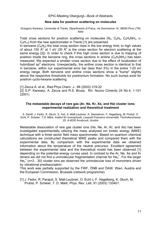#### **New data for positron scattering on molecules**

*Grzegorz Karwasz, Universita di Trento, Dipartimento di Fisica, via Sommarive 14, 38050 Povo (TN) Italia* 

Total cross sections for positron scattering on molecules ( $N_2$ ,  $C_6H_6$ ,  $C_6H_5NH_2$ , c- $C_6H_{12}$ ) from the new spectrometer in Trento [1] are presented.

In benzene  $(C_6H_6)$  the total cross section rises in the low energy limit, to high values of about 100  $A^2$  at 1 eV (30  $A^2$  is the cross section for electron scattering at the same energy [2]). In order to check if this high cross section is due to trapping of positron inside the benzene ring, the cross sections in aniline  $(C_6H_5NH_2)$  has been measured. We expected a smaller cross section due to the effect of localization of hybridized sp<sup>2</sup> electrons. Unexpectedly, the aniline cross section is identical to that in benzene, within our experimental error bar (less than 5%) in the entire 1-20 eV energy range. Both benzene and aniline cross sections show a "bump" slightly above the respective thresholds for positronium formation. No such bumps exist for positron cyclo-hexane scattering.

[1] Zecca A. et al., Rad.Phys.Chem. J., 68 (2003) 319-22

[2] G.P. Karwasz, A. Zecca and R.S. Brusa, Riv. Nuovo Cimento 24 No.4, 1-101 (2001)

#### **The metastable decays of rare gas (Ar, Ne, Kr, Xe, and He) cluster ions: experimental realization and theoretical treatment**

*S. Denifl, J. Fedor, K. Gluch, S. Feil, S. Matt-Leubner, A. Stamatovic, F. Hagelberg, M. Probst, O. Echt, P. Scheier, T.D. Märk, Institut für Ionenphysik, Leopold Franzens Universität, Technikerstrasse 25, A-6020 Innsbruck, Austria* 

Metastable dissociation of rare gas cluster ions (He, Ne, Ar, Kr, and Xe) has been investigated experimentally utilizing the mass analysed ion kinetic energy (MIKE) technique with a three sector field mass spectrometer. Based on quantum chemical calculations we constructed theoretical MIKE peaks and compared them with the experimental data. By comparison with the experimental data we obtained information about the temperature of the neutral precursor. Excellent agreement between the experimental data and the theoretical model has been observed [1] depending on the potential energy curves used. In contrast to the Ar, Ne, Xe and Kr dimers we did not find a unimolecular fragmentation channel for  $He_2^+$ . For the larger He<sub>n</sub><sup>+</sup> (n=3...30) cluster ions we observed the unimolecular loss of monomers driven by vibrational predissociation.

This work was partially supported by the FWF, ÖNB and ÖAW, Wien, Austria and the European Commission, Brussels (network programme).

[1] J. Fedor, R. Parajuli, S. Matt-Leubner, O. Echt c, F. Hagelberg, K. Głuch, M. Probst, P. Scheier, T. D. Märk, Phys. Rev. Lett. 91 (2003) 133401.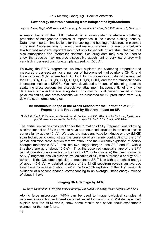## **Low energy electron scattering from halogenated hydrocarbons**

*Nykola Jones, Dept. of Physics and Astronomy, University of Aarhus, DK-8000 Aarhus C, Denmark* 

A major theme of the EPIC network is to investigate the electron scattering properties of halogenated species of importance in the plasma etching industry. Data have important implications for the cooling and heating of electrons in plasmas in general. Cross-sections for elastic and inelastic scattering of electrons below a few hundred meV are important input not only for models of industrial plasmas, but also atmospheric and interstellar plasmas. Scattering data may also be used to show that species may undergo dissociative attachment at very low energy with very high cross-sections, for example exceeding 1000  $A^2$ .

Following the EPIC programme, we have explored the scattering properties and measured cross-sections for a number of halogenated hydrocarbons  $CH_xR_y$  and fluorocarbons  $CF_xR_y$ , where  $R = F$ , Cl, Br, I. In this presentation data will be reported for  $CF_4$ ,  $CCI_4$ ,  $CF_3I$ ,  $CF_3Br$ ,  $CH_3I$ ,  $CH_3Cl$ ,  $CH_3Br$ ,  $CHCl_3$  and for the atmospherically interesting molecule  $SF_5CF_3$ . We have developed a means of obtaining absolute scattering cross-sections for dissociative attachment independently of any other data save our absolute scattering data. This method is at present limited to nonpolar molecules, and cross-sections will be presented for CI production from CCI<sub>4</sub> down to sub-thermal energies.

## The Anomalous Shape of the Cross Section for the Formation of SF<sub>3</sub><sup>+</sup> **Fragment Ions Produced by Electron Impact on SF6**

*S. Feil, K. Gluch, P. Scheier, A. Stamatovic, K. Becker, and T.D. Märk, Institut für Ionenphysik, Leopold Franzens Universität, Technikerstrasse 25, A-6020 Innsbruck, AUSTRIA* 

The partial ionization cross section for the formation of  $SF_3^+$  fragment ions following electron impact on  $SF<sub>6</sub>$  is known to have a pronounced structure in the cross section curve slightly above 40 eV. We used the mass-analyzed ion kinetic energy (MIKE) scan technique to demonstrate the presence of a channel contributing to the  $SF_3^+$ partial ionization cross section that we attribute to the Coulomb explosion of doubly charged metastable SF<sub>4</sub><sup>2+</sup> ions into two singly charged ions SF<sub>3</sub><sup>+</sup> and F<sup>+</sup>, with a threshold energy of about 45.5 eV. Thus the observed unusual shape of the  $SF_3^+$ partial ionization cross section is the result of 2 contributions, (i) the direct formation of SF<sub>3</sub><sup>+</sup> fragment ions via dissociative ionization of SF<sub>6</sub> with a threshold energy of 22 eV and (ii) the Coulomb explosion of metastable  $SF_4^{2+}$  ions with a threshold energy of about 45.5 eV. A detailed analysis of the MIKE spectrum reveals an average kinetic energy release of about 5 eV in the Coulomb explosion of the  $SF_4^{2+}$  ions with evidence of a second channel corresponding to an average kinetic energy release of about 1.1 eV.

## **Imaging DNA damage by AFM**

*D. Mayr, Department of Physics and Astronomy, The Open University, Milton Keynes, MK7 6AA* 

Atomic force microscopy (AFM) can be used to image biological samples at nanometre resolution and therefore is well suited for the study of DNA damage. I will explain how the AFM works, show some results and speak about experiments planned for the near future.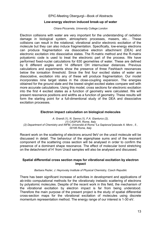## **Low-energy electron induced break-up of water**

#### *Chiara Piccarreta, University College London*

Electron collisions with water are very important for the understanding of radiation damage in biological system, atmospheric processes, masers, etc... These collisions can result in the rotational, vibrational and/or electronic excitation of the molecule but they can also induce fragmentation. Specifically, low-energy electrons can produce fragmentation via dissociative electron attachment (DEA) and electronic excitation into dissociative states. The R-matrix method and the R-matrix polyatomic code is used to treat the electronic part of the process. We have performed fixed-nuclei calculations for 630 geometries of water. These are defined by 6 different angles and 14 different OH internuclear distances. Previous calculations and experiments show the presence of three Feshbach resonances below the ionisation threshold. Since the first four excited states of water are dissociative, excitation into any of these will produce fragmentation. Our model incorporates nine target states in the close-coupling expansion. The energies obtained for the ground state and the lowest singlet excited states compare well with more accurate calculations. Using this model, cross sections for electronic excitation into the first 4 excited states as a function of geometry were calculated. We will present resonance positions and widths as a function of geometry. These results will form the starting point for a full-dimentional study of the DEA and dissociative excitation processes.

#### **Electron impact calculation on biological molecules**

*A. Grandi (1), N. Sanna (1), F.A. Gianturco (2), (1) CASPUR, Rome, Italy (2) Department of Chemistry and INFM, Università di Roma "La Sapienza"piazzale A. Moro , 5 , 00185 Rome, Italy* 

Recent work on the scattering of electrons around 9eV on the uracil molecule will be discussed in detail. The behaviour of the eigenphase sums and of the resonant component of the scattering cross section will be analysed in order to confirm the presence of a dominant shape resonance. The effect of molecular bond stretching on the detachment of H<sup>-</sup> from Uracil samples will also be analysed and discussed.

#### **Spatial differential cross section maps for vibrational excitation by electron impact**

#### *Barbara Pezler, J. Heyrovsky Institute of Physical Chemistry, Czech Republic*

There has been significant increase of activities in development and applications of ab-initio computational methods for the vibrationaly inelastic scattering of electrons by polyatomic molecules. Despite of the recent work in this field, the mechanism of the vibrational excitation by electron impact is far from being understood. Therefore the main purpose of the present project is the study of spatial differential cross-section maps for the vibrational excitation of molecules using discrete momentum representation method. The energy range of our interest is 1-30 eV.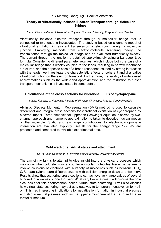## **Theory of Vibrationally Inelastic Electron Transport through Molecular Bridges**

#### *Martin Cizek, Institute of Theoretical Physics, Charles University, Prague, Czech Republic*

Vibrationally inelastic electron transport through a molecular bridge that is connected to two leads is investigated. The study is based on a generic model of vibrational excitation in resonant transmission of electrons through a molecular junction. Employing methods from electron-molecule scattering theory, the transmittance through the molecular bridge can be evaluated numerically exactly. The current through the junction is obtained approximately using a Landauer-type formula. Considering different parameter regimes, which include both the case of a molecular bridge that is weakly coupled to the leads, resulting in narrow resonance structures, and the opposite case of a broad resonance caused by strong interaction with the leads, we investigate the characteristic effects of coherent and dissipative vibrational motion on the electron transport. Furthermore, the validity of widely used approximations such as the wide-band approximation and the restriction to elastic transport mechanisms is investigated in some detail.

## **Calculations of the cross sections for vibrational EELS of cyclopropane**

#### *Michal Kovacic, J. Heyrovsky Institute of Physical Chemistry, Prague, Czech Republic*

Ab initio Discrete Momentum Representation (DMR) method is used to calculate differential and integral cross sections for vibrational excitation of cyclopropane by electron impact. Three-dimensional Lippmann-Schwinger equation is solved by twochannel approach and harmonic approximation is taken to describe nuclear motion of the molecule. Static and exchange contributions to electron-cyclopropane interaction are evaluated explicitly. Results for the energy range 1-30 eV are presented and compared to available experimental data.

## **Cold electrons: virtual states and attachment**

#### *David Field, Department of Physics and Astronomy, University of Aarhus*

The aim of my talk is to attempt to give insight into the physical processes which may occur when cold electrons encounter non-polar molecules. Recent experiments involve collisions of electrons with a variety of molecules such as benzene,  $CO<sub>2</sub>$ ,  $C_6F_6$ , para-xylene, para-difluorobenzene with collision energies down to a few meV. Results show that scattering cross-sections can achieve very large values of several hundred to in excess of one thousand  $A^2$  at very low energies. I will discuss the physical basis for this phenomenon, called "virtual state scattering". I will also discuss how virtual state scattering may act as a gateway to temporary negative ion formation. This has interesting implications for negative ion formation in industrial plasmas and also in natural plasmas such as the upper atmosphere of the Earth and the interstellar medium.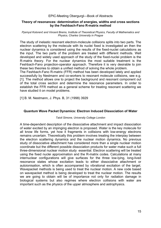## **Theory of resonances: determination of energies, widths and cross sections by the Feshbach-Fano R-matrix method**

#### *Pŗemysl Kolorenč and Vincent Brems, Institute of Theoretical Physics, Faculty of Mathematics and Physics, Charles University in Prague*

The study of inelastic resonant electron-molecule collisions splits into two parts. The electron scattering by the molecule with its nuclei fixed is investigated an then the nuclear dynamics is considered using the results of the fixed-nuclei calculations as the input. The two parts of the problem are treated with different methods. Well developed and widely used approach of the study of the fixed-nuclei problem is the R-matrix theory. For the nuclear dynamics the most suitable treatment is the Feshbach-Fano projection-operator approach. Therefore it is very desirable to join these two theories to obtain a unified method of solving the whole problem.

The Feshbach-Fano R-matrix (FFR) method has been developed lately and applied successfully by Nestmann and co-workers to resonant molecule collisions, see e.g. [1]. The method allows one to project the background and resonant component out of the total cross section and determine the resonance parameters. In order to establish the FFR method as a general scheme for treating resonant scattering we have studied it on model problems.

[1] B. M. Nestmann, J. Phys. B, 31 (1998) 3929

## **Quantum Wave Packet Dynamics: Electron Induced Dissociation of Water**

#### *Taioli Simone, University College London*

A time-dependent description of the dissociative attachment and impact dissociation of water excited by an impinging electron is proposed. Water is the key molecule for all know life forms, yet how it fragments in collisions with low-energy electrons remains uncertain. Theoretically this problem involves treating the interplay between the electron scattering dynamics and the nuclear motion dynamics. No previous study of dissociative attachment has considered more than a single nuclear motion coordinate but the different possible dissociation products for water make such a full three-dimensional nuclear motion study essential. Electron scattering will be treated using the fixed nuclei approximation and the R-matrix codes. Calculations at many internuclear configurations will give surfaces for the three low-lying, long-lived resonance states whose excitation leads to either dissociative attachment or autoionisation, which is often accompanied by vibrational excitation of the target. Wavepacket methods is being used to treat the nuclear motion. A new code based on wavepacket method is being developed to treat the nuclear motion. The results we are going to obtain will be of importance not only for radiation damage in biological systems but also regimes where electron collisions with water are important such as the physics of the upper atmosphere and astrophysics.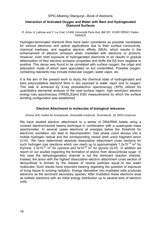#### **Interaction of Activated Oxygen and Water with Bare and Hydrogenated Diamond Surfaces**

#### *R. Azira, A. Lafosse and Y. Le Coat, LCAM, Université Paris-Sud, Bât 351, 91405 ORSAY Cedex, FRANCE*

Hydrogen-terminated diamond films have been considered as possible candidates for various electronic and optical applications due to their surface conductivity, chemical inertness, and negative electron affinity (NEA), which results in the enhancement of electron emission when irradiated with electrons or photons. However, even brief exposure of hydrogenated diamonds to air results in gradual deterioration of their electron emission properties and shifts the EA from negative to positive. This decay was found to be correlated with surface oxygen, the origin and adsorption mode of which were speculated on but unidentified. Possible oxygencontaining reactants may include molecular oxygen, water vapor, etc.

It is the aim of the present work to study the chemical state of hydrogenated and bare polycrystalline diamond films in situ exposed to water vapor and to oxygen. This task is achieved by X-ray photoelectron spectroscopy (XPS) utilized for quantitative elemental analysis of the near-surface region, high resolution electron energy loss spectroscopy (HREELS)and ESD measurements by which the surface bonding configuration was established

## **Electron Attachment to molecules of biological relevance**

#### *Verena Grill, Institut für Ionenphysik, Universität Innsbruck, Technikerstr. 25, 6020 Innsbruck*

We have studied electron attachment to a series of DNA/RNA bases using a crossed electron/neutral beams technique in combination with a quadrupole mass spectrometer. In several cases electrons at energies below the threshold for electronic excitation can lead to decomposition. Gas phase uracil decays into a mobile hydrogen radical and the corresponding closed shell uracil fragment anion (U-H). We have determined absolute dissociative attachment cross sections for such hydrogen loss reactions which can reach up to approximately 1.2x10<sup>-19</sup> m<sup>2</sup> for thymine, 2.3x10<sup>-20</sup> m<sup>2</sup> for cytosine and 5x10<sup>-20</sup> m<sup>2</sup> for glycine (G-H). In addition we report on our studies regarding the formation of anions from desoxyribose sugar. In this case the dehydrogenation channel is not the dominant reaction channel. Instead, the anion with the highest dissociative electron attachment cross section of deoxyribose is formed by the release of neutral particles equal to two water molecules. Such results have important bearing regarding the question of exposure of living tissue to ionizing radiation. Energy deposition into irradiated cells produces electrons as the dominant secondary species. After irradiation these electrons exist as ballistic electrons with an initial energy distribution up to several tens of electron volts.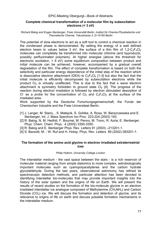## **Complete chemical transformation of a molecular film by subexcitation electrons (< 3 eV)**

#### *Richard Balog and Eugen Illenberger, Freie Universität Berlin, Institut für Chemie-Physikalische und Theoretische Chemie, Takustrasse 3, D-14195 Berlin*

The potential of slow electrons to act as a soft tool to control a chemical reaction in the condensed phase is demonstrated. By setting the energy of a well defined electron beam to values below 3 eV, the surface of a thin film of  $1,2-C_2F_4Cl_2$ molecules can completely be transformed into molecular chlorine (and byproducts, possibly perfluorinated polymers). At higher energies (above the threshold for electronic excitation, > 6 eV) some equilibrium composition between product and initial molecule can be achieved, however, accompanied by a gradual overall degradation of the film. The effect of complete transformation is based on both the selectivity and particular energy dependence of the initial step of the reaction which is dissociative electron attachment (DEA) to  $C_2F_4C_2$  [1-3] but also the fact that the initial molecule is efficiently decomposed by subexcitation electrons while the product  $Cl<sub>2</sub>$  is virtually unaffected. This is due to the fact that s wave electron attachment is symmetry forbidden to ground state  $Cl<sub>2</sub>$  [4]. The progress of the reaction during electron irradiation is followed by electron stimulated desorption of Cl<sup>-</sup> as a probe for the concentration of Cl<sub>2</sub> and C<sub>2</sub>F<sub>4</sub>Cl<sub>2</sub> at the surface of the irradiated area.

Work supported by the Deutsche Forschungsgemeinschaft, the Fonds der Chemischen Industrie and the Freie Universitaet Berlin.

- [1] J. Langer, M. Stano, , S. Matejcik, S. Gohlke, A. Rosa, W. Barszczewska and E. Illenberger, Int. J. Mass Spectrom Ion Proc. 223-224 (2003) 193.
- [2] R. Balog, N. M. Hedhili, F. Bournel, M. Penno, M. Tronc, R. Azria, E. Illenberger, Phys. Chem. Chem. Phys. 4 (2002) 3350-3355.
- [3] R. Balog and E. Illenberger Phys. Rev. Letters 91 (2003) –213201-1.
- [4] S. Barsotti, M. W. Ruf and H. Hotop, Phys. Rev. Letters 89 (2002) 083201-1.

#### **The formation of the amino acid glycine in electron irradiated extraterrestrial ices**

#### *Philip Holtom, University College London*

The interstellar medium - the vast space between the stars - is a rich reservoir of molecular material ranging from simple diatomics to more complex, astrobiologically important molecules such as cyanopolyacetylenes and the carbon hydrate glycolaldehyde. During the last years, observational astronomy has refined its spectroscopic detection methods, and particular attention has been devoted to identifying interstellar bio-molecules that may provide important insights into the history of the solar system and the origins of life on Earth. We will present the results of recent studies on the formation of the bio-molecule glycine in an electron irradiated interstellar ice analogue composed of Methylamine  $(CH_3NH_2)$  and Carbon Dioxide  $(CO<sub>2</sub>)$  ice. We will discuss the formation and detection of glycine, and its relevance to origins of life on earth and discuss possible formation mechanisms in the interstellar medium.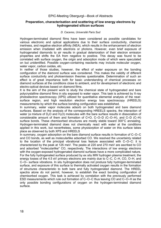#### **Preparation, characterisation and scattering of low energy electrons by hydrogenated silicon surfaces**

#### *D. Caceres, Université Paris Sud*

Hydrogen-terminated diamond films have been considered as possible candidates for various electronic and optical applications due to their surface conductivity, chemical inertness, and negative electron affinity (NEA), which results in the enhancement of electron emission when irradiated with electrons or photons. However, even brief exposure of hydrogenated diamonds to air results in gradual deterioration of their electron emission properties and shifts the EA from negative to positive. This decay was found to be correlated with surface oxygen, the origin and adsorption mode of which were speculated on but unidentified. Possible oxygen-containing reactants may include molecular oxygen, water vapor, carbon oxides, etc.

In neither of those studies, however, the effect of water exposure on the bonding configuration of the diamond surface was considered. This makes the validity of different surface conductivity and photoemission theories questionable. Determination of such an effect is of great importance both for basic understanding of chemical processes on diamond surfaces at the conditions close to ambient, and for development of electronic and electro-optical devices based on diamond films.

It is the aim of the present work to study the chemical state of hydrogenated and bare polycrystalline diamond films in situ exposed to water vapor. This task is achieved by X-ray photoelectron spectroscopy (XPS) utilized for quantitative elemental analysis of the nearsurface region, and high resolution electron energy loss spectroscopy (HREELS) measurements by which the surface bonding configuration was established.

In summary, water vapor molecules adsorb on both hydrogenated and bare diamond surfaces. Based on the analysis of the corresponding HREELS spectra, the interaction of water (a mixture of  $D_2O$  and  $H_2O$ ) molecules with the bare surface results in dissociation of considerable amount of them and formation of C=O, C–O–D (C–O–H), and C–D (C–H) surface bonds. These chemisorbed structures are mostly stable toward 300°C annealing. Hydrogen-terminated diamond does not chemically react with water at the conditions applied in this work, but nevertheless, some physisorption of water on this surface takes place as observed by both XPS and HREELS

In summary, oxygen adsorption on the bare diamond surface results in formation of C–O–C and CO bonds, as well as molecularlike adsorbed CO. We resolved the uncertainty related to the location of the principal vibrational loss feature associated with C–O–C: it is characterized by the peak at 125 meV. The peaks at 220 and 270 meV are ascribed to CO and adsorbed "molecularlike" CO, respectively. The interactions of low energy electrons with the oxygen-exposed hydrogenated diamond surfaces have a more complicated nature. For the fully hydrogenated surface produced by ex situ MW hydrogen plasma treatment, the energy losses of the 4.5 eV primary electrons are mainly due to C–C, C–H, CO, O–H, and C–O– surface vibrations. In situ hydrogenation does not produce fully hydrogen-terminated surface, and exposure of this surface to thermally activated oxygen results in the formation of structures characteristic to both bare and fully hydrogenated diamond. The HREEL spectra alone do not permit, however, to establish the exact bonding configuration of chemisorbed oxygen. This task is achieved by correlation with the previously performed ESD measurements which rule out formation of C–O–C thus leaving CO and C–O–H as the only possible bonding configurations of oxygen on the hydrogen-terminated diamond surface.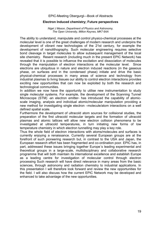#### **Electron Induced chemistry; Future perspectives**

*Nigel J Mason, Department of Physics and Astronomy, The Open University, Milton Keynes, MK7 6AA* 

The ability to understand, manipulate and control physico-chemical processes at the molecular level is one of the great challenges of modern research and underpins the development of vibrant new technologies of the 21st century, for example the development of nanolithography. Such molecular engineering requires selective bond cleavage in target molecules to allow subsequent management of the local site chemistry. Resent research (including much in the present EPIC Network) has revealed that it is possible to influence the excitation and dissociation of molecules through the manipulation of electron interactions at the molecular level. Since electrons are ubiquitous in nature and electron induced reactions (in the gaseous phase, on surfaces and in the condensed phase) initiate and drive the basic physical-chemical processes in many areas of science and technology from industrial plasmas to living tissues our ability to control electron interactions provides exciting new opportunities that can now be exploited by both the research and technological communities.

In addition we now have the opportunity to utilise new instrumentation to study single molecular systems. For example, the development of the Scanning Tunnel Microscope (STM) -an electron emitter- has introduced the capability of atomicscale imaging, analysis and individual atomic/molecular manipulation providing a new method for investigating single electron –molecule/atom interactions on a well defined spatial scale.

Furthermore the development of ultracold atom sources for collisional studies, the preparation of the first ultracold molecular targets and the formation of ultracold plasmas and atomic lattices will allow new electron collision phenomena to be investigated at ultracold temperatures, in turn initiating new forms of low temperature chemistry in which electron tunnelling may play a key role.

Thus the whole field of electron interactions with atoms/molecules and surfaces is currently enjoying a renaissance. Currently several European groups are at the forefront of such pioneering research but, in contrast to the USA and Japan, the European research effort has been fragmented and co-ordination poor. EPIC has, in part, addressed these issues bringing together Europe´s leading experimental and theoretical groups in a large-scale, multidisciplinary and collaborative research programme that will both maintain its international excellence and establish Europe as a leading centre for investigation of molecular control through electron processing Such research will have direct relevance in many areas from the basic sciences, through astronomy and radiation chemistry to industrial applications. In this presentation I will therefore look forward and review the new opportunities for the field. I will also discuss how the current EPIC Network may be developed and enhanced to take advantage of the new opportunities.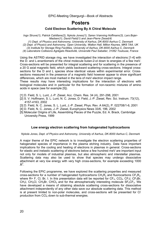# **Posters**

**Cold Electron Scattering By A Chiral Molecule** 

*Ingo Struve(1), Patrick Cahillane(2), Nykola Jones(1), Søren Vrønning Hoffmann(3), Lars Bojer-Madsen(1), David Field(1) and Jean-Pierre Ziesel(4)* 

- *(1) Dept. of Physics and Astronomy, University of Aarhus, DK-8000 Aarhus C, Denmark*
- *(2) Dept. of Physics and Astronomy, Open University, Walton Hall, Milton Keynes, MK6 7AA, UK*
- *(3) Institute for Storage Ring Facilities, University of Aarhus, DK-8000 Aarhus C, Denmark*
- *(4) Laboratoire Collisions Agrégats Réactivité, Université Paul Sabatier, 31062 Toulouse, France*

Using the ASTRID storage ring, we have investigated the interaction of electrons [1-4] with the D- and L-enantiomers of the chiral molecule butan-2-ol down to energies of a few meV. Cross-sections will be presented for integral scattering and for scattering in the presence of a 20 G axial magnetic field, which yields backward scattering cross-sections. Integral crosssections for the D and L species show identical values within experimental error. Crosssections measured in the presence of a magnetic field however appear to show significant differences, which are most marked in the tens of meV electron impact range.

These results may have interesting implications for the interaction of electrons with biological molecules and in particular for the formation of non-racemic mixtures of amino acids in space (see for example [5]).

- [1] D. Field, S. L. Lunt, J.-P. Ziesel, Acc. Chem. Res. 34 (4), 291-298, 2001
- [2] S. V. Hoffmann, S. L. Lunt, N. C. Jones, D. Field, J.-P. Ziesel, Rev. Sci. Instrum. 73(12), 4157-4163, 2002
- [3] D. Field, N. C. Jones, S. L. Lunt, J.-P. Ziesel, Phys. Rev. A 64(2), P. 022708/1-6, 2001
- [4] D. Field, N. C. Jones, J.-P. Ziesel, Europhysics News 33/6, 196, 2002
- [5] Molecular Origins of Life, Assembling Pieces of the Puzzle, Ed. A. Brack, Cambridge University Press, 1999

## **Low energy electron scattering from halogenated hydrocarbons**

#### *Nykola Jones, Dept. of Physics and Astronomy, University of Aarhus, DK-8000 Aarhus C, Denmark*

A major theme of the EPIC network is to investigate the electron scattering properties of halogenated species of importance in the plasma etching industry. Data have important implications for the cooling and heating of electrons in plasmas in general. Cross-sections for elastic and inelastic scattering of electrons below a few hundred meV are important input not only for models of industrial plasmas, but also atmospheric and interstellar plasmas. Scattering data may also be used to show that species may undergo dissociative attachment at very low energy with very high cross-sections, for example exceeding 1000  $\mathsf{A}^2$ .

Following the EPIC programme, we have explored the scattering properties and measured cross-sections for a number of halogenated hydrocarbons  $CH_xR_y$  and fluorocarbons  $CF_xR_y$ , where R= F, Cl, Br, I. In this presentation data will be reported for  $CF_4$ , CCl<sub>4</sub>, CF<sub>3</sub>I, CF<sub>3</sub>Br,  $CH<sub>3</sub>I$ , CH<sub>3</sub>Cl, CH<sub>3</sub>Br, CHCl<sub>3</sub> and for the atmospherically interesting molecule SF<sub>5</sub>CF<sub>3</sub>. We have developed a means of obtaining absolute scattering cross-sections for dissociative attachment independently of any other data save our absolute scattering data. This method is at present limited to non-polar molecules, and cross-sections will be presented for Clproduction from CCI4 down to sub-thermal energies.